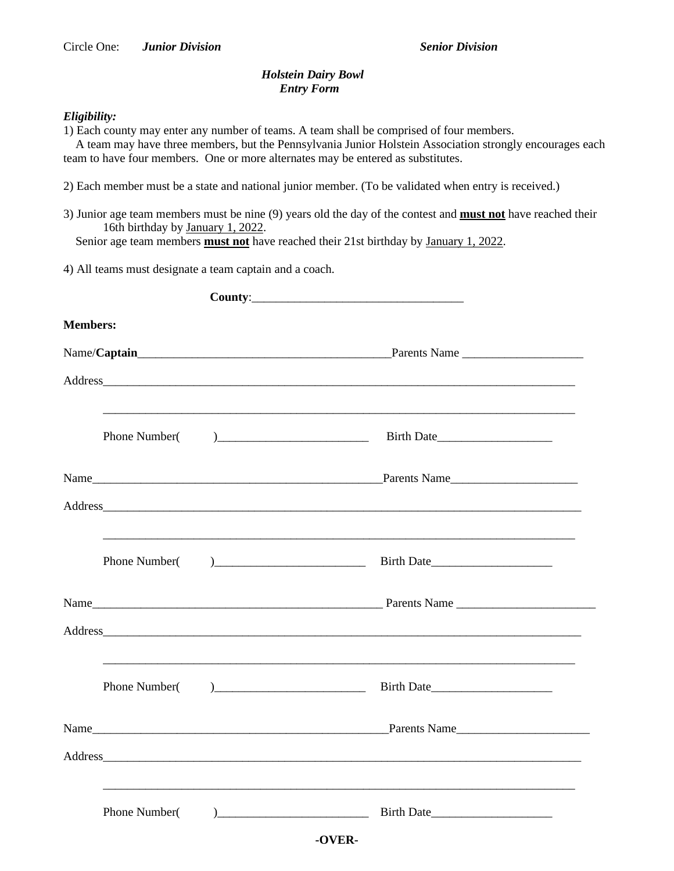## *Holstein Dairy Bowl Entry Form*

## *Eligibility:*

1) Each county may enter any number of teams. A team shall be comprised of four members.

 A team may have three members, but the Pennsylvania Junior Holstein Association strongly encourages each team to have four members. One or more alternates may be entered as substitutes.

2) Each member must be a state and national junior member. (To be validated when entry is received.)

3) Junior age team members must be nine (9) years old the day of the contest and **must not** have reached their 16th birthday by January 1, 2022.

Senior age team members **must not** have reached their 21st birthday by January 1, 2022.

4) All teams must designate a team captain and a coach.

| <b>Members:</b> |               |  |                                                                                                                                         |  |
|-----------------|---------------|--|-----------------------------------------------------------------------------------------------------------------------------------------|--|
|                 |               |  |                                                                                                                                         |  |
|                 |               |  |                                                                                                                                         |  |
|                 | Phone Number( |  | $)$ Birth Date                                                                                                                          |  |
|                 |               |  |                                                                                                                                         |  |
|                 |               |  |                                                                                                                                         |  |
|                 | Phone Number( |  | <u> 1989 - Johann Stoff, amerikan bestein de stad in de stad in de stad in de stad in de stad in de stad in de st</u><br>$)$ Birth Date |  |
|                 |               |  |                                                                                                                                         |  |
|                 |               |  |                                                                                                                                         |  |
|                 | Phone Number( |  |                                                                                                                                         |  |
|                 |               |  |                                                                                                                                         |  |
|                 |               |  |                                                                                                                                         |  |
|                 | Phone Number( |  | $)$ Birth Date                                                                                                                          |  |
|                 |               |  | -OVER-                                                                                                                                  |  |